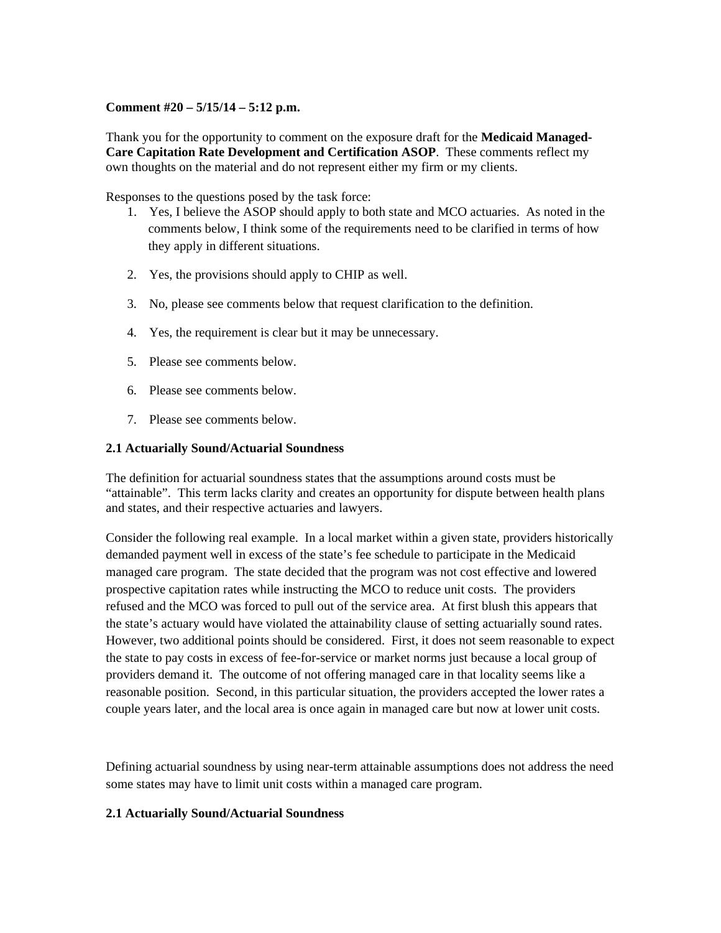## **Comment #20 – 5/15/14 – 5:12 p.m.**

Thank you for the opportunity to comment on the exposure draft for the **Medicaid Managed-Care Capitation Rate Development and Certification ASOP**. These comments reflect my own thoughts on the material and do not represent either my firm or my clients.

Responses to the questions posed by the task force:

- 1. Yes, I believe the ASOP should apply to both state and MCO actuaries. As noted in the comments below, I think some of the requirements need to be clarified in terms of how they apply in different situations.
- 2. Yes, the provisions should apply to CHIP as well.
- 3. No, please see comments below that request clarification to the definition.
- 4. Yes, the requirement is clear but it may be unnecessary.
- 5. Please see comments below.
- 6. Please see comments below.
- 7. Please see comments below.

### **2.1 Actuarially Sound/Actuarial Soundness**

The definition for actuarial soundness states that the assumptions around costs must be "attainable". This term lacks clarity and creates an opportunity for dispute between health plans and states, and their respective actuaries and lawyers.

Consider the following real example. In a local market within a given state, providers historically demanded payment well in excess of the state's fee schedule to participate in the Medicaid managed care program. The state decided that the program was not cost effective and lowered prospective capitation rates while instructing the MCO to reduce unit costs. The providers refused and the MCO was forced to pull out of the service area. At first blush this appears that the state's actuary would have violated the attainability clause of setting actuarially sound rates. However, two additional points should be considered. First, it does not seem reasonable to expect the state to pay costs in excess of fee-for-service or market norms just because a local group of providers demand it. The outcome of not offering managed care in that locality seems like a reasonable position. Second, in this particular situation, the providers accepted the lower rates a couple years later, and the local area is once again in managed care but now at lower unit costs.

Defining actuarial soundness by using near-term attainable assumptions does not address the need some states may have to limit unit costs within a managed care program.

### **2.1 Actuarially Sound/Actuarial Soundness**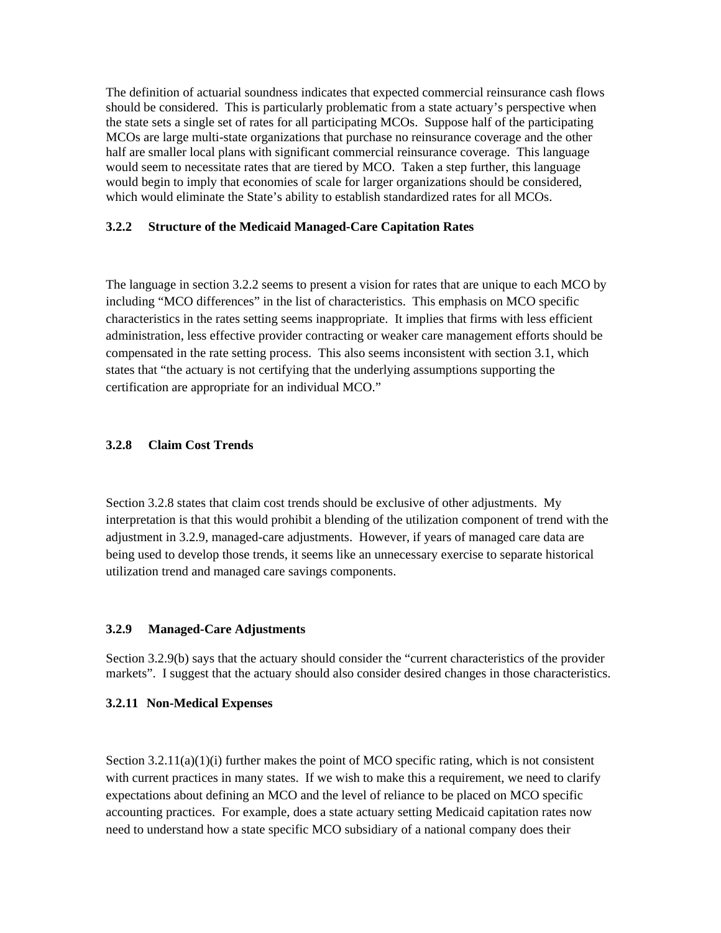The definition of actuarial soundness indicates that expected commercial reinsurance cash flows should be considered. This is particularly problematic from a state actuary's perspective when the state sets a single set of rates for all participating MCOs. Suppose half of the participating MCOs are large multi-state organizations that purchase no reinsurance coverage and the other half are smaller local plans with significant commercial reinsurance coverage. This language would seem to necessitate rates that are tiered by MCO. Taken a step further, this language would begin to imply that economies of scale for larger organizations should be considered, which would eliminate the State's ability to establish standardized rates for all MCOs.

### **3.2.2 Structure of the Medicaid Managed-Care Capitation Rates**

The language in section 3.2.2 seems to present a vision for rates that are unique to each MCO by including "MCO differences" in the list of characteristics. This emphasis on MCO specific characteristics in the rates setting seems inappropriate. It implies that firms with less efficient administration, less effective provider contracting or weaker care management efforts should be compensated in the rate setting process. This also seems inconsistent with section 3.1, which states that "the actuary is not certifying that the underlying assumptions supporting the certification are appropriate for an individual MCO."

#### **3.2.8 Claim Cost Trends**

Section 3.2.8 states that claim cost trends should be exclusive of other adjustments. My interpretation is that this would prohibit a blending of the utilization component of trend with the adjustment in 3.2.9, managed-care adjustments. However, if years of managed care data are being used to develop those trends, it seems like an unnecessary exercise to separate historical utilization trend and managed care savings components.

### **3.2.9 Managed-Care Adjustments**

Section 3.2.9(b) says that the actuary should consider the "current characteristics of the provider markets". I suggest that the actuary should also consider desired changes in those characteristics.

#### **3.2.11 Non-Medical Expenses**

Section  $3.2.11(a)(1)(i)$  further makes the point of MCO specific rating, which is not consistent with current practices in many states. If we wish to make this a requirement, we need to clarify expectations about defining an MCO and the level of reliance to be placed on MCO specific accounting practices. For example, does a state actuary setting Medicaid capitation rates now need to understand how a state specific MCO subsidiary of a national company does their